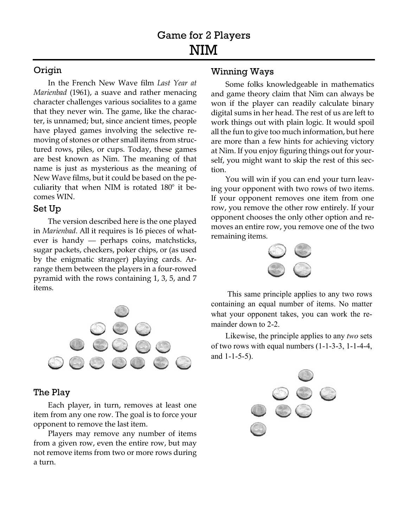## Origin

In the French New Wave film *Last Year at Marienbad* (1961), a suave and rather menacing character challenges various socialites to a game that they never win. The game, like the character, is unnamed; but, since ancient times, people have played games involving the selective removing of stones or other small items from structured rows, piles, or cups. Today, these games are best known as Nim. The meaning of that name is just as mysterious as the meaning of New Wave films, but it could be based on the peculiarity that when NIM is rotated 180° it becomes WIN.

#### Set Up

The version described here is the one played in *Marienbad*. All it requires is 16 pieces of whatever is handy — perhaps coins, matchsticks, sugar packets, checkers, poker chips, or (as used by the enigmatic stranger) playing cards. Arrange them between the players in a four-rowed pyramid with the rows containing 1, 3, 5, and 7 items.



## The Play

Each player, in turn, removes at least one item from any one row. The goal is to force your opponent to remove the last item.

Players may remove any number of items from a given row, even the entire row, but may not remove items from two or more rows during a turn.

#### Winning Ways

Some folks knowledgeable in mathematics and game theory claim that Nim can always be won if the player can readily calculate binary digital sums in her head. The rest of us are left to work things out with plain logic. It would spoil all the fun to give too much information, but here are more than a few hints for achieving victory at Nim. If you enjoy figuring things out for yourself, you might want to skip the rest of this section.

You will win if you can end your turn leaving your opponent with two rows of two items. If your opponent removes one item from one row, you remove the other row entirely. If your opponent chooses the only other option and removes an entire row, you remove one of the two remaining items.



 This same principle applies to any two rows containing an equal number of items. No matter what your opponent takes, you can work the remainder down to 2-2.

Likewise, the principle applies to any *two* sets of two rows with equal numbers (1-1-3-3, 1-1-4-4, and 1-1-5-5).